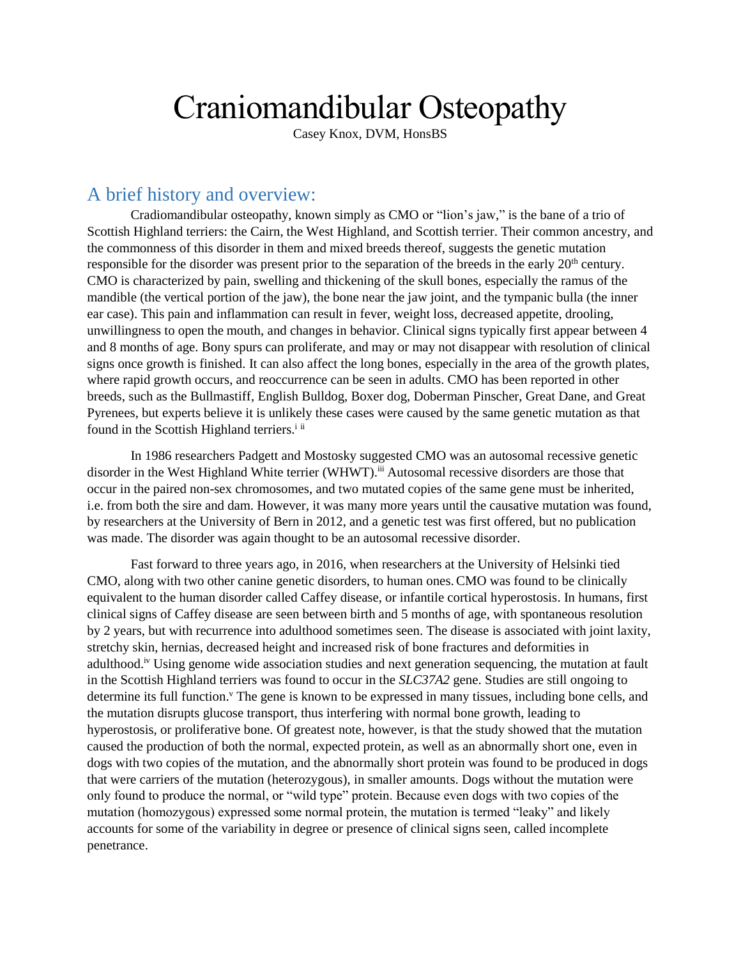# Craniomandibular Osteopathy

Casey Knox, DVM, HonsBS

## A brief history and overview:

Cradiomandibular osteopathy, known simply as CMO or "lion's jaw," is the bane of a trio of Scottish Highland terriers: the Cairn, the West Highland, and Scottish terrier. Their common ancestry, and the commonness of this disorder in them and mixed breeds thereof, suggests the genetic mutation responsible for the disorder was present prior to the separation of the breeds in the early 20<sup>th</sup> century. CMO is characterized by pain, swelling and thickening of the skull bones, especially the ramus of the mandible (the vertical portion of the jaw), the bone near the jaw joint, and the tympanic bulla (the inner ear case). This pain and inflammation can result in fever, weight loss, decreased appetite, drooling, unwillingness to open the mouth, and changes in behavior. Clinical signs typically first appear between 4 and 8 months of age. Bony spurs can proliferate, and may or may not disappear with resolution of clinical signs once growth is finished. It can also affect the long bones, especially in the area of the growth plates, where rapid growth occurs, and reoccurrence can be seen in adults. CMO has been reported in other breeds, such as the Bullmastiff, English Bulldog, Boxer dog, Doberman Pinscher, Great Dane, and Great Pyrenees, but experts believe it is unlikely these cases were caused by the same genetic mutation as that found in the Scottish Highland terriers.<sup>i ii</sup>

In 1986 researchers Padgett and Mostosky suggested CMO was an autosomal recessive genetic disorder in the West Highland White terrier (WHWT).<sup>iii</sup> Autosomal recessive disorders are those that occur in the paired non-sex chromosomes, and two mutated copies of the same gene must be inherited, i.e. from both the sire and dam. However, it was many more years until the causative mutation was found, by researchers at the University of Bern in 2012, and a genetic test was first offered, but no publication was made. The disorder was again thought to be an autosomal recessive disorder.

Fast forward to three years ago, in 2016, when researchers at the University of Helsinki tied CMO, along with two other canine genetic disorders, to human ones.CMO was found to be clinically equivalent to the human disorder called Caffey disease, or infantile cortical hyperostosis. In humans, first clinical signs of Caffey disease are seen between birth and 5 months of age, with spontaneous resolution by 2 years, but with recurrence into adulthood sometimes seen. The disease is associated with joint laxity, stretchy skin, hernias, decreased height and increased risk of bone fractures and deformities in adulthood.<sup>iv</sup> Using genome wide association studies and next generation sequencing, the mutation at fault in the Scottish Highland terriers was found to occur in the *SLC37A2* gene. Studies are still ongoing to determine its full function.<sup>v</sup> The gene is known to be expressed in many tissues, including bone cells, and the mutation disrupts glucose transport, thus interfering with normal bone growth, leading to hyperostosis, or proliferative bone. Of greatest note, however, is that the study showed that the mutation caused the production of both the normal, expected protein, as well as an abnormally short one, even in dogs with two copies of the mutation, and the abnormally short protein was found to be produced in dogs that were carriers of the mutation (heterozygous), in smaller amounts. Dogs without the mutation were only found to produce the normal, or "wild type" protein. Because even dogs with two copies of the mutation (homozygous) expressed some normal protein, the mutation is termed "leaky" and likely accounts for some of the variability in degree or presence of clinical signs seen, called incomplete penetrance.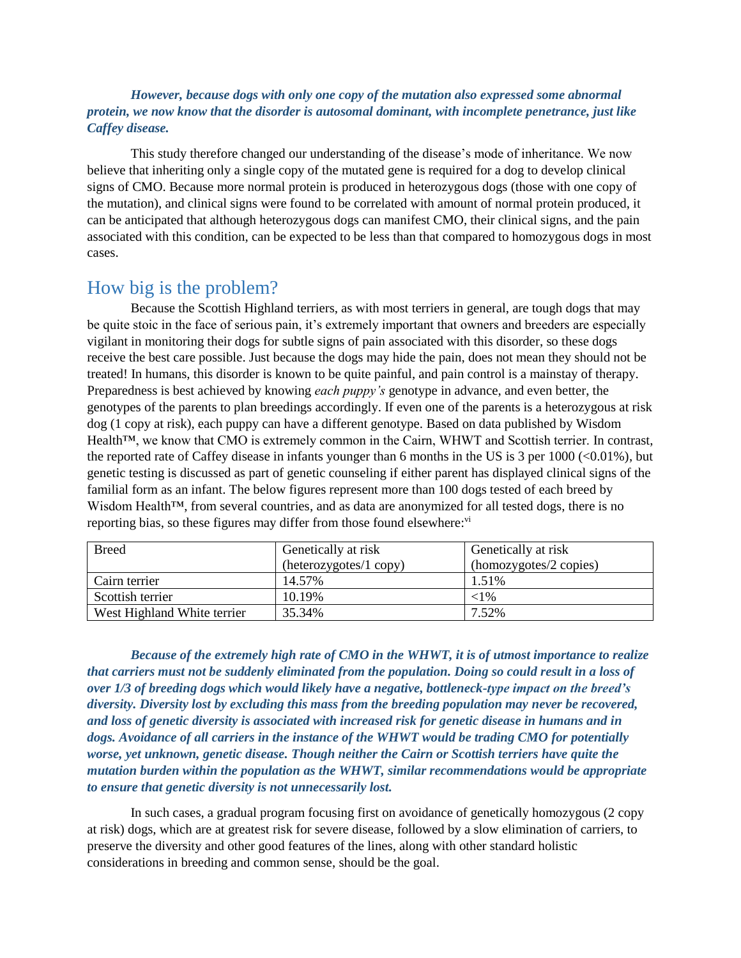#### *However, because dogs with only one copy of the mutation also expressed some abnormal protein, we now know that the disorder is autosomal dominant, with incomplete penetrance, just like Caffey disease.*

This study therefore changed our understanding of the disease's mode of inheritance. We now believe that inheriting only a single copy of the mutated gene is required for a dog to develop clinical signs of CMO. Because more normal protein is produced in heterozygous dogs (those with one copy of the mutation), and clinical signs were found to be correlated with amount of normal protein produced, it can be anticipated that although heterozygous dogs can manifest CMO, their clinical signs, and the pain associated with this condition, can be expected to be less than that compared to homozygous dogs in most cases.

### How big is the problem?

Because the Scottish Highland terriers, as with most terriers in general, are tough dogs that may be quite stoic in the face of serious pain, it's extremely important that owners and breeders are especially vigilant in monitoring their dogs for subtle signs of pain associated with this disorder, so these dogs receive the best care possible. Just because the dogs may hide the pain, does not mean they should not be treated! In humans, this disorder is known to be quite painful, and pain control is a mainstay of therapy. Preparedness is best achieved by knowing *each puppy's* genotype in advance, and even better, the genotypes of the parents to plan breedings accordingly. If even one of the parents is a heterozygous at risk dog (1 copy at risk), each puppy can have a different genotype. Based on data published by Wisdom Health™, we know that CMO is extremely common in the Cairn, WHWT and Scottish terrier. In contrast, the reported rate of Caffey disease in infants younger than 6 months in the US is 3 per  $1000 \, (\text{\textdegree}< 0.01\%)$ , but genetic testing is discussed as part of genetic counseling if either parent has displayed clinical signs of the familial form as an infant. The below figures represent more than 100 dogs tested of each breed by Wisdom Health<sup>™</sup>, from several countries, and as data are anonymized for all tested dogs, there is no reporting bias, so these figures may differ from those found elsewhere:<sup>vi</sup>

| <b>Breed</b>                | Genetically at risk    | Genetically at risk    |
|-----------------------------|------------------------|------------------------|
|                             | (heterozygotes/1 copy) | (homozygotes/2 copies) |
| Cairn terrier               | 14.57%                 | 1.51%                  |
| Scottish terrier            | 10.19%                 | ${<}1\%$               |
| West Highland White terrier | 35.34%                 | 7.52%                  |

*Because of the extremely high rate of CMO in the WHWT, it is of utmost importance to realize that carriers must not be suddenly eliminated from the population. Doing so could result in a loss of over 1/3 of breeding dogs which would likely have a negative, bottleneck-type impact on the breed's diversity. Diversity lost by excluding this mass from the breeding population may never be recovered, and loss of genetic diversity is associated with increased risk for genetic disease in humans and in dogs. Avoidance of all carriers in the instance of the WHWT would be trading CMO for potentially worse, yet unknown, genetic disease. Though neither the Cairn or Scottish terriers have quite the mutation burden within the population as the WHWT, similar recommendations would be appropriate to ensure that genetic diversity is not unnecessarily lost.* 

In such cases, a gradual program focusing first on avoidance of genetically homozygous (2 copy at risk) dogs, which are at greatest risk for severe disease, followed by a slow elimination of carriers, to preserve the diversity and other good features of the lines, along with other standard holistic considerations in breeding and common sense, should be the goal.